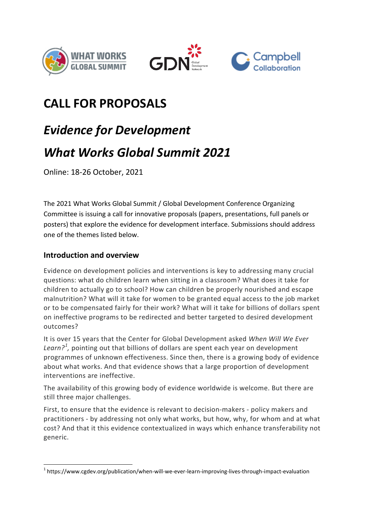





## **CALL FOR PROPOSALS**

# *Evidence for Development What Works Global Summit 2021*

Online: 18-26 October, 2021

The 2021 What Works Global Summit / Global Development Conference Organizing Committee is issuing a call for innovative proposals (papers, presentations, full panels or posters) that explore the evidence for development interface. Submissions should address one of the themes listed below.

#### **Introduction and overview**

Evidence on development policies and interventions is key to addressing many crucial questions: what do children learn when sitting in a classroom? What does it take for children to actually go to school? How can children be properly nourished and escape malnutrition? What will it take for women to be granted equal access to the job market or to be compensated fairly for their work? What will it take for billions of dollars spent on ineffective programs to be redirected and better targeted to desired development outcomes?

It is over 15 years that the Center for Global Development asked *When Will We Ever*  Learn?<sup>[1](#page-0-0)</sup>, pointing out that billions of dollars are spent each year on development programmes of unknown effectiveness. Since then, there is a growing body of evidence about what works. And that evidence shows that a large proportion of development interventions are ineffective.

The availability of this growing body of evidence worldwide is welcome. But there are still three major challenges.

First, to ensure that the evidence is relevant to decision-makers - policy makers and practitioners - by addressing not only what works, but how, why, for whom and at what cost? And that it this evidence contextualized in ways which enhance transferability not generic.

<span id="page-0-0"></span> <sup>1</sup> https://www.cgdev.org/publication/when-will-we-ever-learn-improving-lives-through-impact-evaluation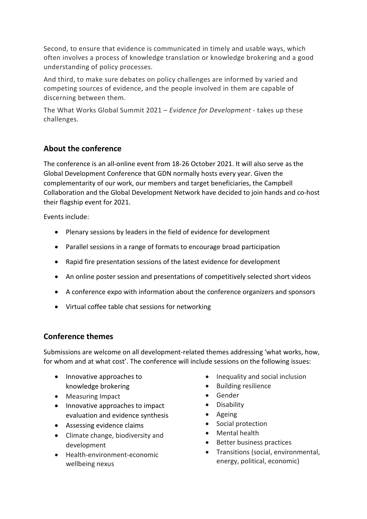Second, to ensure that evidence is communicated in timely and usable ways, which often involves a process of knowledge translation or knowledge brokering and a good understanding of policy processes.

And third, to make sure debates on policy challenges are informed by varied and competing sources of evidence, and the people involved in them are capable of discerning between them.

The What Works Global Summit 2021 – *Evidence for Development* - takes up these challenges.

#### **About the conference**

The conference is an all-online event from 18-26 October 2021. It will also serve as the Global Development Conference that GDN normally hosts every year. Given the complementarity of our work, our members and target beneficiaries, the Campbell Collaboration and the Global Development Network have decided to join hands and co-host their flagship event for 2021.

Events include:

- Plenary sessions by leaders in the field of evidence for development
- Parallel sessions in a range of formats to encourage broad participation
- Rapid fire presentation sessions of the latest evidence for development
- An online poster session and presentations of competitively selected short videos
- A conference expo with information about the conference organizers and sponsors
- Virtual coffee table chat sessions for networking

### **Conference themes**

Submissions are welcome on all development-related themes addressing 'what works, how, for whom and at what cost'. The conference will include sessions on the following issues:

- Innovative approaches to knowledge brokering
- Measuring Impact
- Innovative approaches to impact evaluation and evidence synthesis
- Assessing evidence claims
- Climate change, biodiversity and development
- Health-environment-economic wellbeing nexus
- Inequality and social inclusion
- Building resilience
- Gender
- Disability
- Ageing
- Social protection
- Mental health
- Better business practices
- Transitions (social, environmental, energy, political, economic)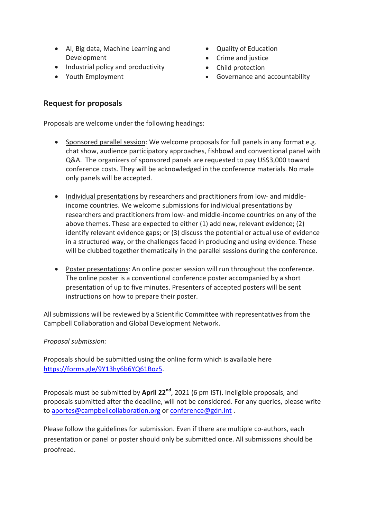- AI, Big data, Machine Learning and Development
- Industrial policy and productivity
- Youth Employment
- Quality of Education
- Crime and justice
- Child protection
- Governance and accountability

#### **Request for proposals**

Proposals are welcome under the following headings:

- Sponsored parallel session: We welcome proposals for full panels in any format e.g. chat show, audience participatory approaches, fishbowl and conventional panel with Q&A. The organizers of sponsored panels are requested to pay US\$3,000 toward conference costs. They will be acknowledged in the conference materials. No male only panels will be accepted.
- Individual presentations by researchers and practitioners from low- and middleincome countries. We welcome submissions for individual presentations by researchers and practitioners from low- and middle-income countries on any of the above themes. These are expected to either (1) add new, relevant evidence; (2) identify relevant evidence gaps; or (3) discuss the potential or actual use of evidence in a structured way, or the challenges faced in producing and using evidence. These will be clubbed together thematically in the parallel sessions during the conference.
- Poster presentations: An online poster session will run throughout the conference. The online poster is a conventional conference poster accompanied by a short presentation of up to five minutes. Presenters of accepted posters will be sent instructions on how to prepare their poster.

All submissions will be reviewed by a Scientific Committee with representatives from the Campbell Collaboration and Global Development Network.

#### *Proposal submission:*

Proposals should be submitted using the online form which is available here [https://forms.gle/9Y13hy6b6YQ61Boz5.](https://forms.gle/9Y13hy6b6YQ61Boz5)

Proposals must be submitted by **April 22nd**, 2021 (6 pm IST). Ineligible proposals, and proposals submitted after the deadline, will not be considered. For any queries, please write to [aportes@campbellcollaboration.org](mailto:aportes@campbellcollaboration.org) or [conference@gdn.int](mailto:conference@gdn.int) .

Please follow the guidelines for submission. Even if there are multiple co-authors, each presentation or panel or poster should only be submitted once. All submissions should be proofread.